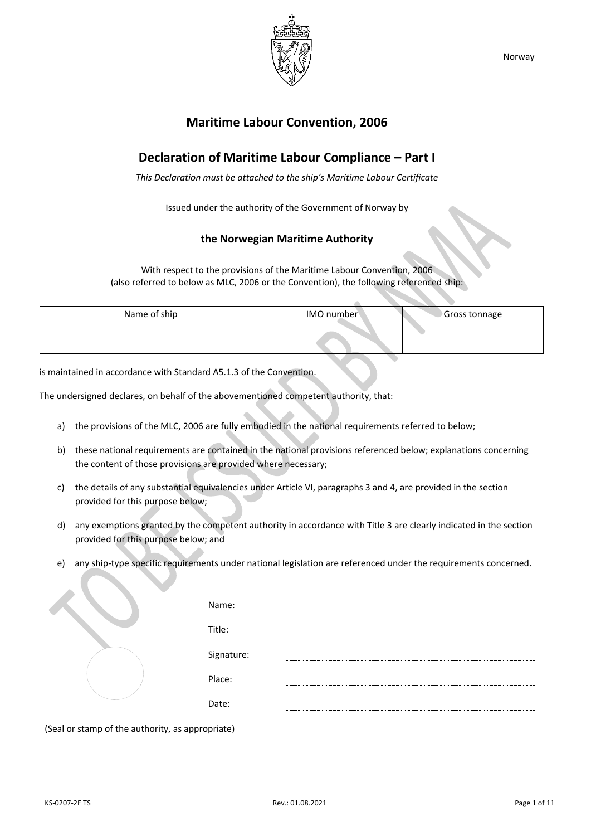

## **Maritime Labour Convention, 2006**

## **Declaration of Maritime Labour Compliance – Part I**

*This Declaration must be attached to the ship's Maritime Labour Certificate*

Issued under the authority of the Government of Norway by

## **the Norwegian Maritime Authority**

With respect to the provisions of the Maritime Labour Convention, 2006 (also referred to below as MLC, 2006 or the Convention), the following referenced ship:

| Name of ship | IMO number | Gross tonnage |
|--------------|------------|---------------|
|              |            |               |

is maintained in accordance with Standard A5.1.3 of the Convention.

The undersigned declares, on behalf of the abovementioned competent authority, that:

- a) the provisions of the MLC, 2006 are fully embodied in the national requirements referred to below;
- b) these national requirements are contained in the national provisions referenced below; explanations concerning the content of those provisions are provided where necessary;
- c) the details of any substantial equivalencies under Article VI, paragraphs 3 and 4, are provided in the section provided for this purpose below;
- d) any exemptions granted by the competent authority in accordance with Title 3 are clearly indicated in the section provided for this purpose below; and
- e) any ship-type specific requirements under national legislation are referenced under the requirements concerned.

|  | Name:      |  |
|--|------------|--|
|  | Title:     |  |
|  | Signature: |  |
|  | Place:     |  |
|  | Date:      |  |

(Seal or stamp of the authority, as appropriate)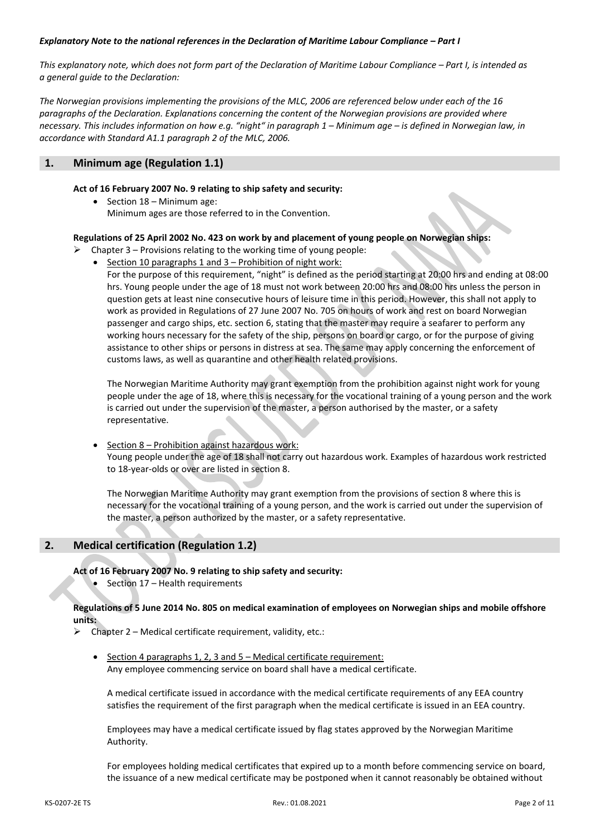#### *Explanatory Note to the national references in the Declaration of Maritime Labour Compliance – Part I*

*This explanatory note, which does not form part of the Declaration of Maritime Labour Compliance – Part I, is intended as a general guide to the Declaration:*

*The Norwegian provisions implementing the provisions of the MLC, 2006 are referenced below under each of the 16 paragraphs of the Declaration. Explanations concerning the content of the Norwegian provisions are provided where necessary. This includes information on how e.g. "night" in paragraph 1 – Minimum age – is defined in Norwegian law, in accordance with Standard A1.1 paragraph 2 of the MLC, 2006.*

## **1. Minimum age (Regulation 1.1)**

#### **Act of 16 February 2007 No. 9 relating to ship safety and security:**

• Section 18 – Minimum age: Minimum ages are those referred to in the Convention.

#### **Regulations of 25 April 2002 No. 423 on work by and placement of young people on Norwegian ships:**

- $\triangleright$  Chapter 3 Provisions relating to the working time of young people:
	- Section 10 paragraphs 1 and 3 Prohibition of night work: For the purpose of this requirement, "night" is defined as the period starting at 20:00 hrs and ending at 08:00 hrs. Young people under the age of 18 must not work between 20:00 hrs and 08:00 hrs unless the person in question gets at least nine consecutive hours of leisure time in this period. However, this shall not apply to work as provided in Regulations of 27 June 2007 No. 705 on hours of work and rest on board Norwegian passenger and cargo ships, etc. section 6, stating that the master may require a seafarer to perform any working hours necessary for the safety of the ship, persons on board or cargo, or for the purpose of giving assistance to other ships or persons in distress at sea. The same may apply concerning the enforcement of customs laws, as well as quarantine and other health related provisions.

The Norwegian Maritime Authority may grant exemption from the prohibition against night work for young people under the age of 18, where this is necessary for the vocational training of a young person and the work is carried out under the supervision of the master, a person authorised by the master, or a safety representative.

• Section 8 – Prohibition against hazardous work: Young people under the age of 18 shall not carry out hazardous work. Examples of hazardous work restricted to 18-year-olds or over are listed in section 8.

The Norwegian Maritime Authority may grant exemption from the provisions of section 8 where this is necessary for the vocational training of a young person, and the work is carried out under the supervision of the master, a person authorized by the master, or a safety representative.

## **2. Medical certification (Regulation 1.2)**

**Act of 16 February 2007 No. 9 relating to ship safety and security:**

Section 17 – Health requirements

#### **Regulations of 5 June 2014 No. 805 on medical examination of employees on Norwegian ships and mobile offshore units:**

- $\triangleright$  Chapter 2 Medical certificate requirement, validity, etc.:
	- Section 4 paragraphs 1, 2, 3 and 5 Medical certificate requirement: Any employee commencing service on board shall have a medical certificate.

A medical certificate issued in accordance with the medical certificate requirements of any EEA country satisfies the requirement of the first paragraph when the medical certificate is issued in an EEA country.

Employees may have a medical certificate issued by flag states approved by the Norwegian Maritime Authority.

For employees holding medical certificates that expired up to a month before commencing service on board, the issuance of a new medical certificate may be postponed when it cannot reasonably be obtained without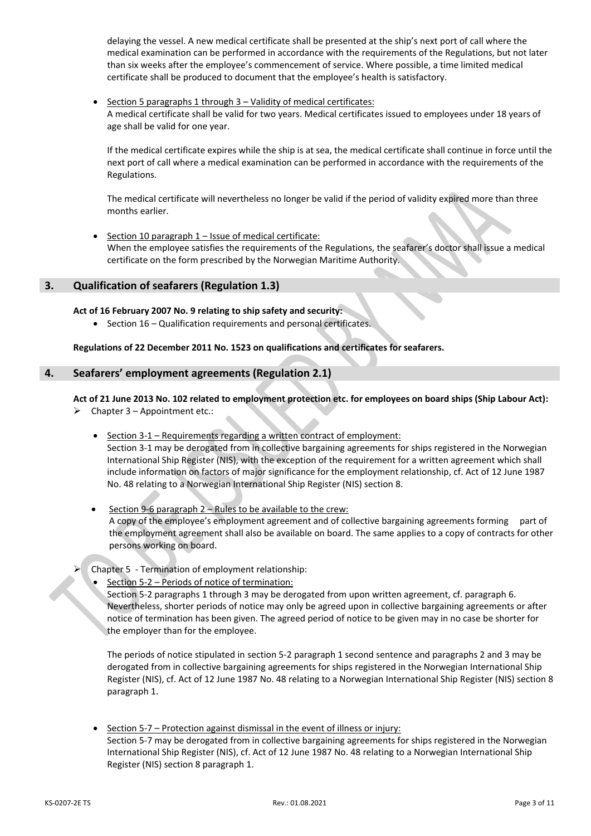delaying the vessel. A new medical certificate shall be presented at the ship's next port of call where the medical examination can be performed in accordance with the requirements of the Regulations, but not later than six weeks after the employee's commencement of service. Where possible, a time limited medical certificate shall be produced to document that the employee's health is satisfactory.

Section 5 paragraphs 1 through 3 - Validity of medical certificates: A medical certificate shall be valid for two years. Medical certificates issued to employees under 18 years of age shall be valid for one year.

If the medical certificate expires while the ship is at sea, the medical certificate shall continue in force until the next port of call where a medical examination can be performed in accordance with the requirements of the Regulations.

The medical certificate will nevertheless no longer be valid if the period of validity expired more than three months earlier.

Section 10 paragraph  $1$  – Issue of medical certificate: When the employee satisfies the requirements of the Regulations, the seafarer's doctor shall issue a medical certificate on the form prescribed by the Norwegian Maritime Authority.

## **3. Qualification of seafarers (Regulation 1.3)**

**Act of 16 February 2007 No. 9 relating to ship safety and security:**

• Section 16 – Qualification requirements and personal certificates.

**Regulations of 22 December 2011 No. 1523 on qualifications and certificates for seafarers.**

## **4. Seafarers' employment agreements (Regulation 2.1)**

**Act of 21 June 2013 No. 102 related to employment protection etc. for employees on board ships (Ship Labour Act):**

- $\triangleright$  Chapter 3 Appointment etc.:
	- Section 3-1 Requirements regarding a written contract of employment: Section 3-1 may be derogated from in collective bargaining agreements for ships registered in the Norwegian International Ship Register (NIS), with the exception of the requirement for a written agreement which shall include information on factors of major significance for the employment relationship, cf. Act of 12 June 1987 No. 48 relating to a Norwegian International Ship Register (NIS) section 8.
	- Section 9-6 paragraph  $2$  Rules to be available to the crew: A copy of the employee's employment agreement and of collective bargaining agreements forming part of the employment agreement shall also be available on board. The same applies to a copy of contracts for other persons working on board.
- ➢ Chapter 5 Termination of employment relationship:
	- Section 5-2 Periods of notice of termination:

Section 5-2 paragraphs 1 through 3 may be derogated from upon written agreement, cf. paragraph 6. Nevertheless, shorter periods of notice may only be agreed upon in collective bargaining agreements or after notice of termination has been given. The agreed period of notice to be given may in no case be shorter for the employer than for the employee.

The periods of notice stipulated in section 5-2 paragraph 1 second sentence and paragraphs 2 and 3 may be derogated from in collective bargaining agreements for ships registered in the Norwegian International Ship Register (NIS), cf. Act of 12 June 1987 No. 48 relating to a Norwegian International Ship Register (NIS) section 8 paragraph 1.

• Section 5-7 – Protection against dismissal in the event of illness or injury: Section 5-7 may be derogated from in collective bargaining agreements for ships registered in the Norwegian International Ship Register (NIS), cf. Act of 12 June 1987 No. 48 relating to a Norwegian International Ship Register (NIS) section 8 paragraph 1.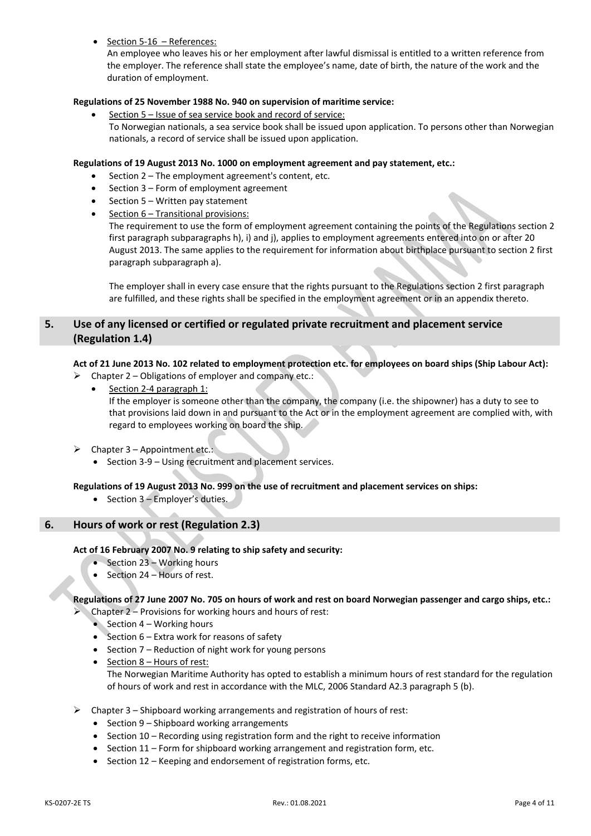• Section 5-16 – References:

An employee who leaves his or her employment after lawful dismissal is entitled to a written reference from the employer. The reference shall state the employee's name, date of birth, the nature of the work and the duration of employment.

## **Regulations of 25 November 1988 No. 940 on supervision of maritime service:**

• Section 5 – Issue of sea service book and record of service: To Norwegian nationals, a sea service book shall be issued upon application. To persons other than Norwegian nationals, a record of service shall be issued upon application.

#### **Regulations of 19 August 2013 No. 1000 on employment agreement and pay statement, etc.:**

- Section 2 The employment agreement's content, etc.
- Section 3 Form of employment agreement
- Section 5 Written pay statement
- Section 6 Transitional provisions:

The requirement to use the form of employment agreement containing the points of the Regulations section 2 first paragraph subparagraphs h), i) and j), applies to employment agreements entered into on or after 20 August 2013. The same applies to the requirement for information about birthplace pursuant to section 2 first paragraph subparagraph a).

The employer shall in every case ensure that the rights pursuant to the Regulations section 2 first paragraph are fulfilled, and these rights shall be specified in the employment agreement or in an appendix thereto.

## **5. Use of any licensed or certified or regulated private recruitment and placement service (Regulation 1.4)**

#### **Act of 21 June 2013 No. 102 related to employment protection etc. for employees on board ships (Ship Labour Act):**

- Chapter 2 Obligations of employer and company etc.:
	- Section 2-4 paragraph 1: If the employer is someone other than the company, the company (i.e. the shipowner) has a duty to see to that provisions laid down in and pursuant to the Act or in the employment agreement are complied with, with regard to employees working on board the ship.
- $\triangleright$  Chapter 3 Appointment etc.:
	- Section 3-9 Using recruitment and placement services.

#### **Regulations of 19 August 2013 No. 999 on the use of recruitment and placement services on ships:**

• Section 3 – Employer's duties.

## **6. Hours of work or rest (Regulation 2.3)**

#### **Act of 16 February 2007 No. 9 relating to ship safety and security:**

- Section 23 Working hours
- Section 24 Hours of rest.

## **Regulations of 27 June 2007 No. 705 on hours of work and rest on board Norwegian passenger and cargo ships, etc.:**

➢ Chapter 2 – Provisions for working hours and hours of rest:

- Section 4 Working hours
- Section 6 Extra work for reasons of safety
- Section 7 Reduction of night work for young persons
- Section 8 Hours of rest: The Norwegian Maritime Authority has opted to establish a minimum hours of rest standard for the regulation of hours of work and rest in accordance with the MLC, 2006 Standard A2.3 paragraph 5 (b).
- ➢ Chapter 3 Shipboard working arrangements and registration of hours of rest:
	- Section 9 Shipboard working arrangements
	- Section 10 Recording using registration form and the right to receive information
	- Section 11 Form for shipboard working arrangement and registration form, etc.
	- Section 12 Keeping and endorsement of registration forms, etc.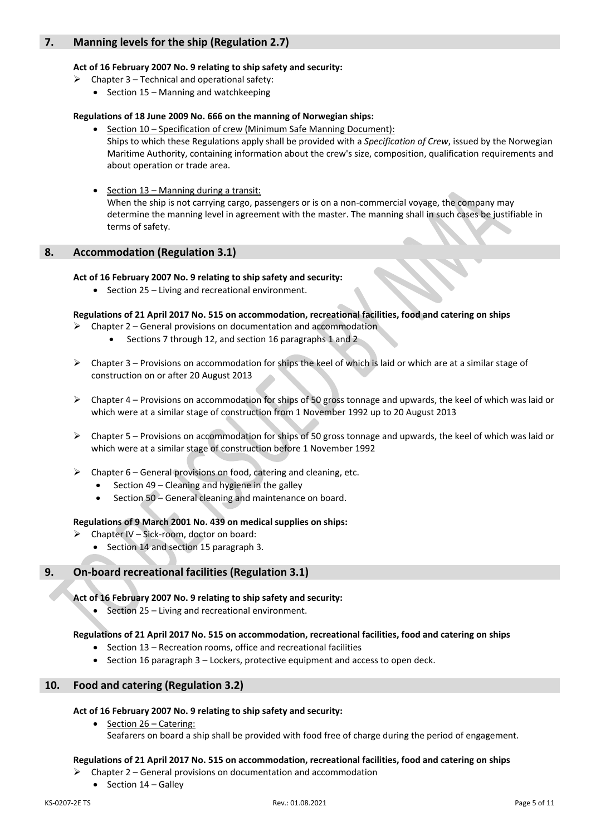## **7. Manning levels for the ship (Regulation 2.7)**

## **Act of 16 February 2007 No. 9 relating to ship safety and security:**

- $\triangleright$  Chapter 3 Technical and operational safety:
	- Section 15 Manning and watchkeeping

## **Regulations of 18 June 2009 No. 666 on the manning of Norwegian ships:**

- Section 10 Specification of crew (Minimum Safe Manning Document): Ships to which these Regulations apply shall be provided with a *Specification of Crew*, issued by the Norwegian Maritime Authority, containing information about the crew's size, composition, qualification requirements and about operation or trade area.
- Section 13 Manning during a transit: When the ship is not carrying cargo, passengers or is on a non-commercial voyage, the company may determine the manning level in agreement with the master. The manning shall in such cases be justifiable in terms of safety.

## **8. Accommodation (Regulation 3.1)**

## **Act of 16 February 2007 No. 9 relating to ship safety and security:**

• Section 25 – Living and recreational environment.

## **Regulations of 21 April 2017 No. 515 on accommodation, recreational facilities, food and catering on ships**

- $\triangleright$  Chapter 2 General provisions on documentation and accommodation
	- Sections 7 through 12, and section 16 paragraphs 1 and 2
- ➢ Chapter 3 Provisions on accommodation for ships the keel of which is laid or which are at a similar stage of construction on or after 20 August 2013
- $\triangleright$  Chapter 4 Provisions on accommodation for ships of 50 gross tonnage and upwards, the keel of which was laid or which were at a similar stage of construction from 1 November 1992 up to 20 August 2013
- $\triangleright$  Chapter 5 Provisions on accommodation for ships of 50 gross tonnage and upwards, the keel of which was laid or which were at a similar stage of construction before 1 November 1992
- $\triangleright$  Chapter 6 General provisions on food, catering and cleaning, etc.
	- Section 49 Cleaning and hygiene in the galley
	- Section 50 General cleaning and maintenance on board.

#### **Regulations of 9 March 2001 No. 439 on medical supplies on ships:**

- ➢ Chapter IV Sick-room, doctor on board:
	- Section 14 and section 15 paragraph 3.

## **9. On-board recreational facilities (Regulation 3.1)**

## **Act of 16 February 2007 No. 9 relating to ship safety and security:**

• Section 25 – Living and recreational environment.

#### **Regulations of 21 April 2017 No. 515 on accommodation, recreational facilities, food and catering on ships**

- Section 13 Recreation rooms, office and recreational facilities
- $\bullet$  Section 16 paragraph 3 Lockers, protective equipment and access to open deck.

## **10. Food and catering (Regulation 3.2)**

• Section 26 – Catering:

#### **Act of 16 February 2007 No. 9 relating to ship safety and security:**

Seafarers on board a ship shall be provided with food free of charge during the period of engagement.

#### **Regulations of 21 April 2017 No. 515 on accommodation, recreational facilities, food and catering on ships**

- ➢ Chapter 2 General provisions on documentation and accommodation
	- Section 14 Galley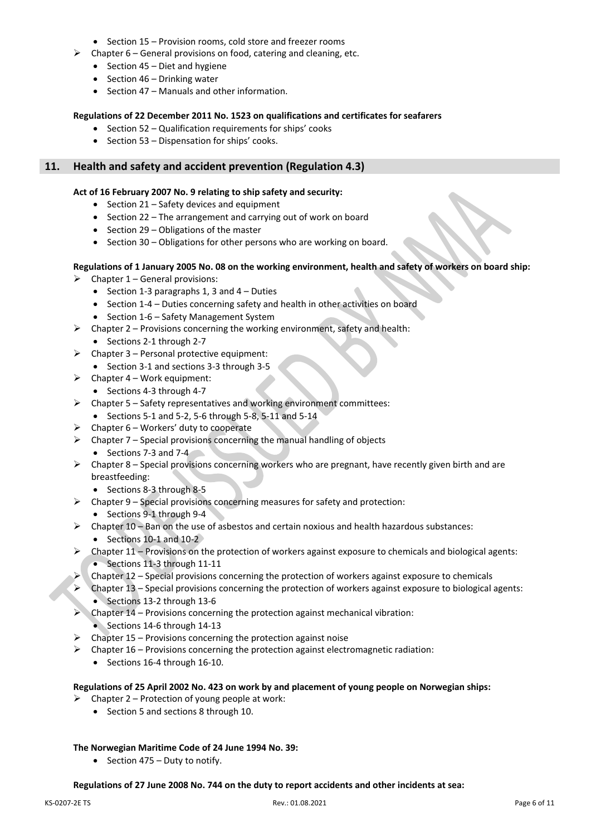- Section 15 Provision rooms, cold store and freezer rooms
- $\triangleright$  Chapter 6 General provisions on food, catering and cleaning, etc.
	- Section 45 Diet and hygiene
	- Section 46 Drinking water
	- Section 47 Manuals and other information.

#### **Regulations of 22 December 2011 No. 1523 on qualifications and certificates for seafarers**

- Section 52 Qualification requirements for ships' cooks
- Section 53 Dispensation for ships' cooks.

## **11. Health and safety and accident prevention (Regulation 4.3)**

#### **Act of 16 February 2007 No. 9 relating to ship safety and security:**

- Section 21 Safety devices and equipment
- Section 22 The arrangement and carrying out of work on board
- Section 29 Obligations of the master
- Section 30 Obligations for other persons who are working on board.

#### **Regulations of 1 January 2005 No. 08 on the working environment, health and safety of workers on board ship:**

- $\triangleright$  Chapter 1 General provisions:
	- Section 1-3 paragraphs 1, 3 and  $4 -$  Duties
	- Section 1-4 Duties concerning safety and health in other activities on board
	- Section 1-6 Safety Management System
- $\triangleright$  Chapter 2 Provisions concerning the working environment, safety and health:
	- Sections 2-1 through 2-7
- $\triangleright$  Chapter 3 Personal protective equipment:
	- Section 3-1 and sections 3-3 through 3-5
- $\triangleright$  Chapter 4 Work equipment:
	- Sections 4-3 through 4-7
- ➢ Chapter 5 Safety representatives and working environment committees:
- Sections 5-1 and 5-2, 5-6 through 5-8, 5-11 and 5-14
- $\triangleright$  Chapter 6 Workers' duty to cooperate
- $\triangleright$  Chapter 7 Special provisions concerning the manual handling of objects
	- Sections 7-3 and 7-4
- $\triangleright$  Chapter 8 Special provisions concerning workers who are pregnant, have recently given birth and are breastfeeding:
	- Sections 8-3 through 8-5
- $\triangleright$  Chapter 9 Special provisions concerning measures for safety and protection:
	- Sections 9-1 through 9-4
- $\triangleright$  Chapter 10 Ban on the use of asbestos and certain noxious and health hazardous substances: • Sections  $10-1$  and  $10-2$
- $\triangleright$  Chapter 11 Provisions on the protection of workers against exposure to chemicals and biological agents: • Sections 11-3 through 11-11
- $\triangleright$  Chapter 12 Special provisions concerning the protection of workers against exposure to chemicals
- ➢ Chapter 13 Special provisions concerning the protection of workers against exposure to biological agents: • Sections 13-2 through 13-6
- ➢ Chapter 14 Provisions concerning the protection against mechanical vibration: • Sections 14-6 through 14-13
- $\triangleright$  Chapter 15 Provisions concerning the protection against noise
- $\triangleright$  Chapter 16 Provisions concerning the protection against electromagnetic radiation:
	- Sections 16-4 through 16-10.

#### **Regulations of 25 April 2002 No. 423 on work by and placement of young people on Norwegian ships:**

- $\triangleright$  Chapter 2 Protection of young people at work:
	- Section 5 and sections 8 through 10.

## **The Norwegian Maritime Code of 24 June 1994 No. 39:**

• Section 475 – Duty to notify.

#### **Regulations of 27 June 2008 No. 744 on the duty to report accidents and other incidents at sea:**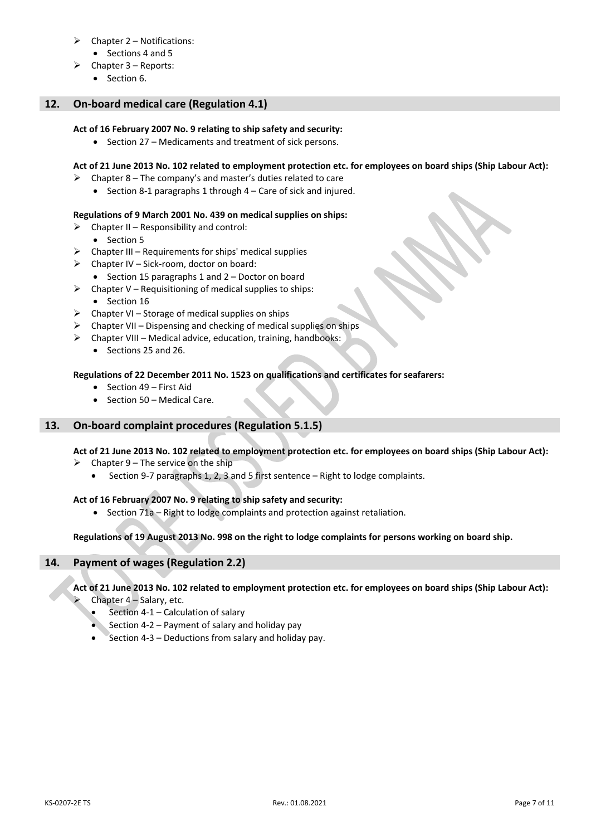- $\triangleright$  Chapter 2 Notifications:
	- Sections 4 and 5
- $\triangleright$  Chapter 3 Reports:
	- Section 6.

## **12. On-board medical care (Regulation 4.1)**

## **Act of 16 February 2007 No. 9 relating to ship safety and security:**

• Section 27 – Medicaments and treatment of sick persons.

## **Act of 21 June 2013 No. 102 related to employment protection etc. for employees on board ships (Ship Labour Act):**

- $\triangleright$  Chapter 8 The company's and master's duties related to care
	- Section 8-1 paragraphs 1 through 4 Care of sick and injured.

## **Regulations of 9 March 2001 No. 439 on medical supplies on ships:**

- $\triangleright$  Chapter II Responsibility and control:
	- Section 5
- $\triangleright$  Chapter III Requirements for ships' medical supplies
- $\triangleright$  Chapter IV Sick-room, doctor on board:
	- Section 15 paragraphs 1 and 2 Doctor on board
- $\triangleright$  Chapter V Requisitioning of medical supplies to ships: • Section 16
	-
- $\triangleright$  Chapter VI Storage of medical supplies on ships
- $\triangleright$  Chapter VII Dispensing and checking of medical supplies on ships
- ➢ Chapter VIII Medical advice, education, training, handbooks:
	- Sections 25 and 26.

## **Regulations of 22 December 2011 No. 1523 on qualifications and certificates for seafarers:**

- Section 49 First Aid
- Section 50 Medical Care.

## **13. On-board complaint procedures (Regulation 5.1.5)**

## **Act of 21 June 2013 No. 102 related to employment protection etc. for employees on board ships (Ship Labour Act):**

- $\triangleright$  Chapter 9 The service on the ship
	- Section 9-7 paragraphs 1, 2, 3 and 5 first sentence Right to lodge complaints.

#### **Act of 16 February 2007 No. 9 relating to ship safety and security:**

• Section 71a – Right to lodge complaints and protection against retaliation.

## **Regulations of 19 August 2013 No. 998 on the right to lodge complaints for persons working on board ship.**

## **14. Payment of wages (Regulation 2.2)**

**Act of 21 June 2013 No. 102 related to employment protection etc. for employees on board ships (Ship Labour Act):**

- Chapter 4 Salary, etc.
	- Section 4-1 Calculation of salary
	- Section 4-2 Payment of salary and holiday pay
	- Section 4-3 Deductions from salary and holiday pay.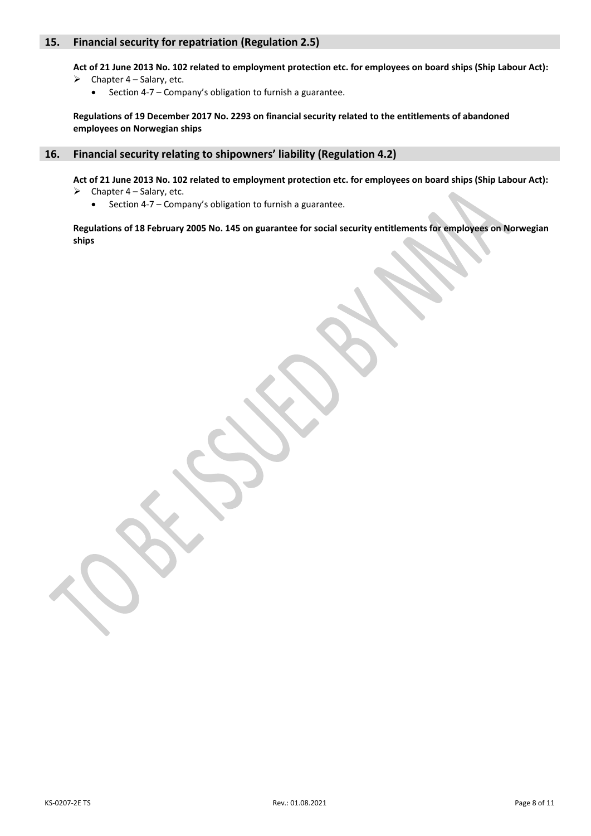## **15. Financial security for repatriation (Regulation 2.5)**

**Act of 21 June 2013 No. 102 related to employment protection etc. for employees on board ships (Ship Labour Act):**

- $\triangleright$  Chapter 4 Salary, etc.
	- Section 4-7 Company's obligation to furnish a guarantee.

**Regulations of 19 December 2017 No. 2293 on financial security related to the entitlements of abandoned employees on Norwegian ships**

#### **16. Financial security relating to shipowners' liability (Regulation 4.2)**

**Act of 21 June 2013 No. 102 related to employment protection etc. for employees on board ships (Ship Labour Act):**  $\triangleright$  Chapter 4 – Salary, etc.

• Section 4-7 – Company's obligation to furnish a guarantee.

**Regulations of 18 February 2005 No. 145 on guarantee for social security entitlements for employees on Norwegian ships**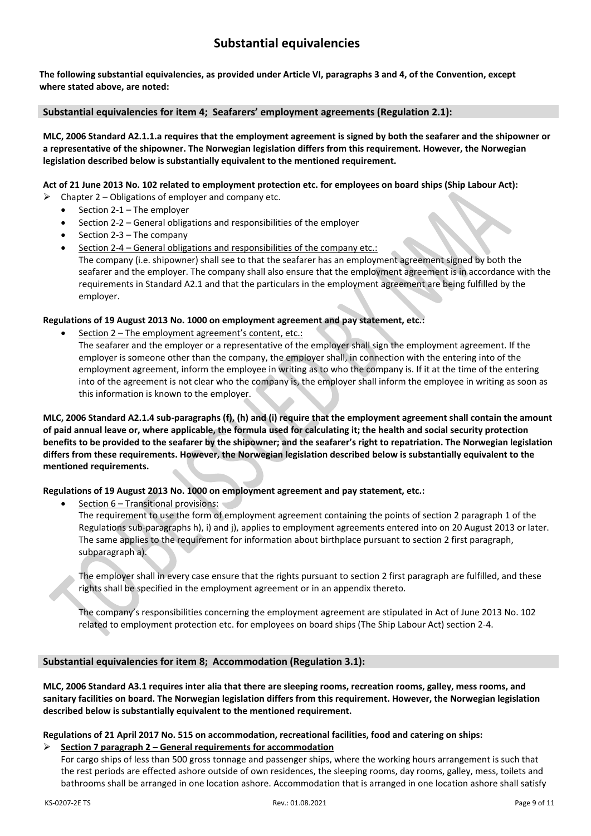## **Substantial equivalencies**

**The following substantial equivalencies, as provided under Article VI, paragraphs 3 and 4, of the Convention, except where stated above, are noted:** 

#### **Substantial equivalencies for item 4; Seafarers' employment agreements (Regulation 2.1):**

**MLC, 2006 Standard A2.1.1.a requires that the employment agreement is signed by both the seafarer and the shipowner or a representative of the shipowner. The Norwegian legislation differs from this requirement. However, the Norwegian legislation described below is substantially equivalent to the mentioned requirement.**

#### **Act of 21 June 2013 No. 102 related to employment protection etc. for employees on board ships (Ship Labour Act):**

- $\triangleright$  Chapter 2 Obligations of employer and company etc.
	- Section 2-1 The employer
	- Section 2-2 General obligations and responsibilities of the employer
	- Section 2-3 The company
	- Section 2-4 General obligations and responsibilities of the company etc.: The company (i.e. shipowner) shall see to that the seafarer has an employment agreement signed by both the seafarer and the employer. The company shall also ensure that the employment agreement is in accordance with the requirements in Standard A2.1 and that the particulars in the employment agreement are being fulfilled by the employer.

## **Regulations of 19 August 2013 No. 1000 on employment agreement and pay statement, etc.:**

- Section 2 The employment agreement's content, etc.:
	- The seafarer and the employer or a representative of the employer shall sign the employment agreement. If the employer is someone other than the company, the employer shall, in connection with the entering into of the employment agreement, inform the employee in writing as to who the company is. If it at the time of the entering into of the agreement is not clear who the company is, the employer shall inform the employee in writing as soon as this information is known to the employer.

**MLC, 2006 Standard A2.1.4 sub-paragraphs (f), (h) and (i) require that the employment agreement shall contain the amount of paid annual leave or, where applicable, the formula used for calculating it; the health and social security protection benefits to be provided to the seafarer by the shipowner; and the seafarer's right to repatriation. The Norwegian legislation differs from these requirements. However, the Norwegian legislation described below is substantially equivalent to the mentioned requirements.**

#### **Regulations of 19 August 2013 No. 1000 on employment agreement and pay statement, etc.:**

• Section 6 – Transitional provisions:

The requirement to use the form of employment agreement containing the points of section 2 paragraph 1 of the Regulations sub-paragraphs h), i) and j), applies to employment agreements entered into on 20 August 2013 or later. The same applies to the requirement for information about birthplace pursuant to section 2 first paragraph, subparagraph a).

The employer shall in every case ensure that the rights pursuant to section 2 first paragraph are fulfilled, and these rights shall be specified in the employment agreement or in an appendix thereto.

The company's responsibilities concerning the employment agreement are stipulated in Act of June 2013 No. 102 related to employment protection etc. for employees on board ships (The Ship Labour Act) section 2-4.

#### **Substantial equivalencies for item 8; Accommodation (Regulation 3.1):**

**MLC, 2006 Standard A3.1 requires inter alia that there are sleeping rooms, recreation rooms, galley, mess rooms, and sanitary facilities on board. The Norwegian legislation differs from this requirement. However, the Norwegian legislation described below is substantially equivalent to the mentioned requirement.**

#### **Regulations of 21 April 2017 No. 515 on accommodation, recreational facilities, food and catering on ships:** ➢ **Section 7 paragraph 2 – General requirements for accommodation**

For cargo ships of less than 500 gross tonnage and passenger ships, where the working hours arrangement is such that the rest periods are effected ashore outside of own residences, the sleeping rooms, day rooms, galley, mess, toilets and bathrooms shall be arranged in one location ashore. Accommodation that is arranged in one location ashore shall satisfy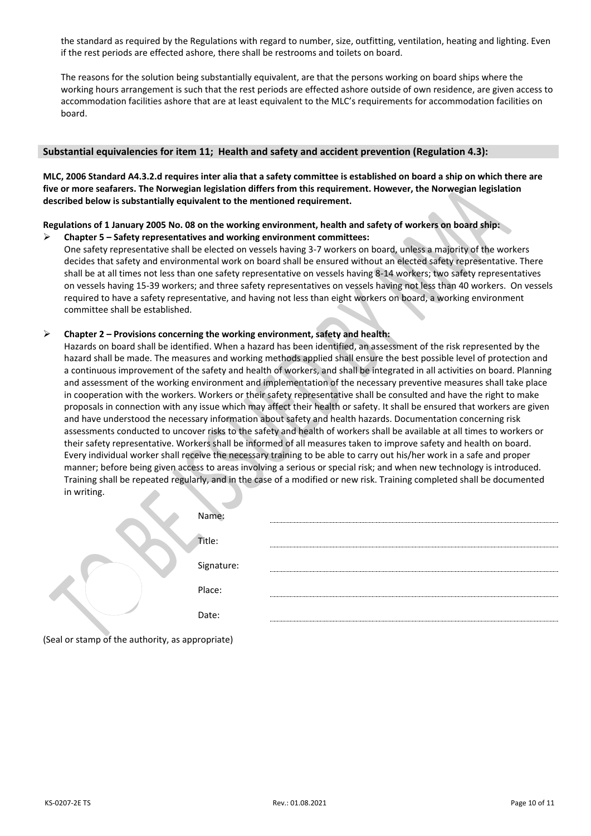the standard as required by the Regulations with regard to number, size, outfitting, ventilation, heating and lighting. Even if the rest periods are effected ashore, there shall be restrooms and toilets on board.

The reasons for the solution being substantially equivalent, are that the persons working on board ships where the working hours arrangement is such that the rest periods are effected ashore outside of own residence, are given access to accommodation facilities ashore that are at least equivalent to the MLC's requirements for accommodation facilities on board.

#### **Substantial equivalencies for item 11; Health and safety and accident prevention (Regulation 4.3):**

**MLC, 2006 Standard A4.3.2.d requires inter alia that a safety committee is established on board a ship on which there are five or more seafarers. The Norwegian legislation differs from this requirement. However, the Norwegian legislation described below is substantially equivalent to the mentioned requirement.** 

## **Regulations of 1 January 2005 No. 08 on the working environment, health and safety of workers on board ship:**

➢ **Chapter 5 – Safety representatives and working environment committees:**  One safety representative shall be elected on vessels having 3-7 workers on board, unless a majority of the workers decides that safety and environmental work on board shall be ensured without an elected safety representative. There shall be at all times not less than one safety representative on vessels having 8-14 workers; two safety representatives on vessels having 15-39 workers; and three safety representatives on vessels having not less than 40 workers. On vessels required to have a safety representative, and having not less than eight workers on board, a working environment committee shall be established.

#### ➢ **Chapter 2 – Provisions concerning the working environment, safety and health:**

Hazards on board shall be identified. When a hazard has been identified, an assessment of the risk represented by the hazard shall be made. The measures and working methods applied shall ensure the best possible level of protection and a continuous improvement of the safety and health of workers, and shall be integrated in all activities on board. Planning and assessment of the working environment and implementation of the necessary preventive measures shall take place in cooperation with the workers. Workers or their safety representative shall be consulted and have the right to make proposals in connection with any issue which may affect their health or safety. It shall be ensured that workers are given and have understood the necessary information about safety and health hazards. Documentation concerning risk assessments conducted to uncover risks to the safety and health of workers shall be available at all times to workers or their safety representative. Workers shall be informed of all measures taken to improve safety and health on board. Every individual worker shall receive the necessary training to be able to carry out his/her work in a safe and proper manner; before being given access to areas involving a serious or special risk; and when new technology is introduced. Training shall be repeated regularly, and in the case of a modified or new risk. Training completed shall be documented in writing.

| Name:      |  |
|------------|--|
| Title:     |  |
| Signature: |  |
| Place:     |  |
| Date:      |  |
|            |  |

(Seal or stamp of the authority, as appropriate)